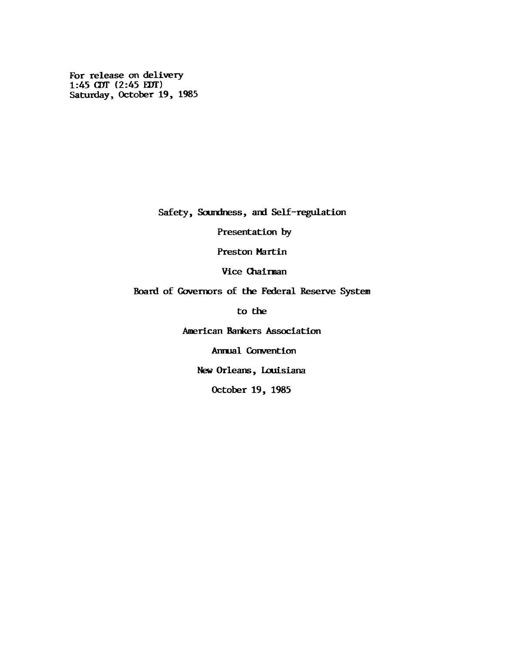**For release on delivery 1:45 CET (2:45 EOT) Saturday, October 19, 1985**

**Safety, Soundness, and Self-regulation**

**Presentation by**

**Preston Martin**

**Vice Chaiman**

**Board of Governors of the Federal Reserve System**

**to the**

**American Barkers Association**

**Annual Convention**

**New Orleans, Louisiana**

**October 19, 1985**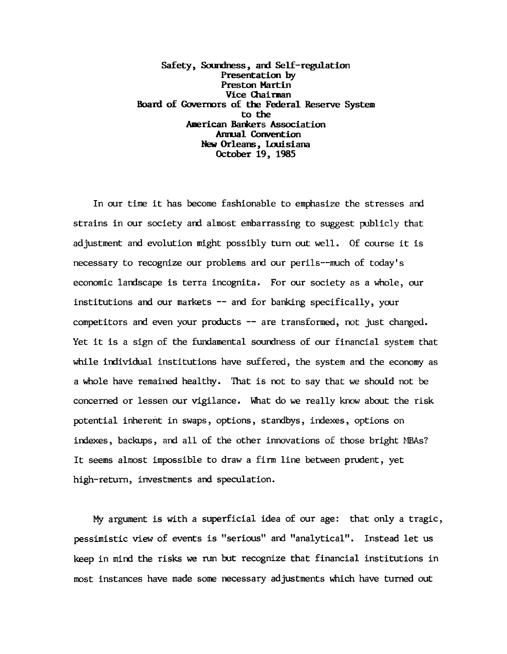**Safety, Soundness, and Self-regulation Presentation by Preston Martin Vice Chairman Board of Governors of the Federal Reserve System to the American Barkers Association Annual Convention New Orleans, Louisiana October 19, 1985**

**In our time it has become fashionable to emphasize the stresses and strains in our society and almost embarrassing to suggest publicly that adjustment and evolution might possibly turn out well. Of course it is necessary to recognize our problems and our perils— much of today's economic landscape is terra incognita. For our society as a whole, our institutions and our markets — and for banking specifically, your competitors and even your products — are transformed, not just changed. Yet it is a sign of the fundamental soundness of our financial system that while individual institutions have suffered, the system and the economy as a whole have remained healthy. That is not to say that we should not be concerned or lessen our vigilance. What do we really know about the risk potential inherent in swaps, options, standbys, indexes, options on indexes, backups, and all of the other innovations of those bright MBAs? It seems almost impossible to draw a firm line between prudent, yet high-return, investments and speculation.**

**My argument is with a superficial idea of our age: that only a tragic, pessimistic view of events is "serious" and "analytical". Instead let us keep in mind the risks we run tut recognize that financial institutions in most instances have made some necessary adjustments which have turned out**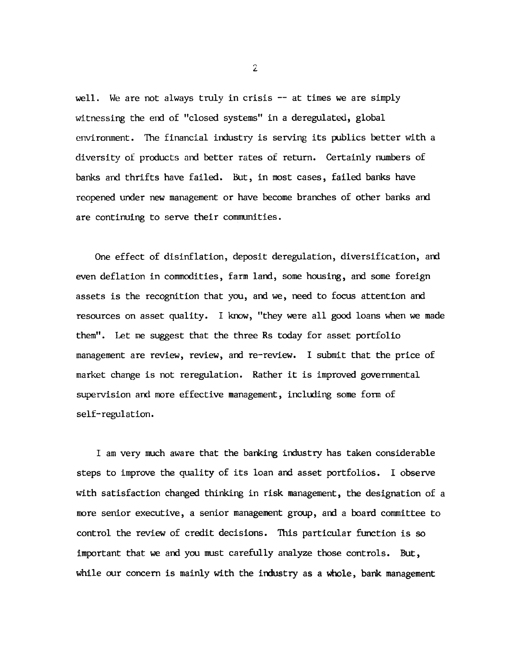**well. We are not always truly in crisis — at times we are simply witnessing the end of "closed systems" in a deregulated, global environment. The financial industry is serving its publics better with a diversity of products and better rates of return. Certainly numbers of banks and thrifts have failed. But, in most cases, failed banks have reopened under new management or have become branches of other banks and are continuing to serve their communities.**

**One effect of disinflation, deposit deregulation, diversification, and even deflation in commodities, farm land, some housing, and some foreign assets is the recognition that you, and we, need to focus attention and resources on asset quality. I know, "they were all good loans when we made them". Let me suggest that the three Rs today for asset portfolio management are review, review, and re-review. I submit that the price of market change is not reregulation. Rather it is improved governmental supervision and more effective management, including some form of self-regulation.**

**I am very much aware that the barking industry has taken considerable steps to improve the quality of its loan and asset portfolios. I observe with satisfaction changed thinking in risk management, the designation of a more senior executive, a senior management group, and a board committee to control the review of credit decisions. This particular function is so important that we and you must carefully analyze those controls. But, while our concern is mainly with the industry as a whole, bank management**

 $\mathbf{2}$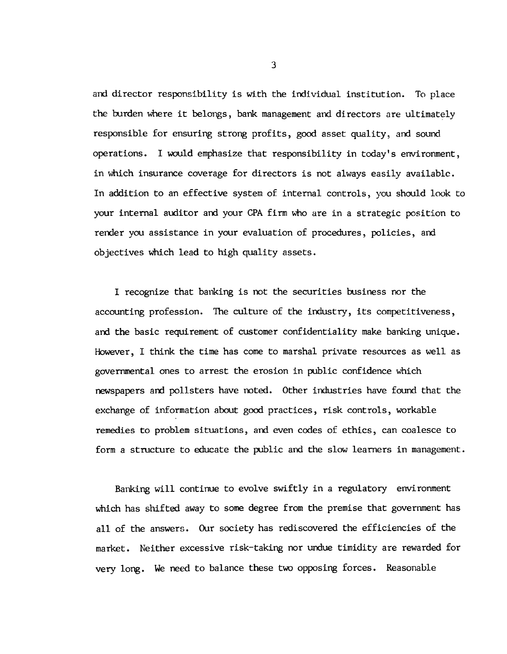**and director responsibility is with the individual institution. To place the burden where it belongs, bank management and directors are ultimately responsible for ensuring strong profits, good asset quality, and sound operations. I would emphasize that responsibility in today's environment, in which insurance coverage for directors is not always easily available. In addition to an effective system of internal controls, you should look to your internal auditor and your CPA firm who are in a strategic position to render you assistance in your evaluation of procedures, policies, and objectives which lead to high quality assets.**

**I recognize that banking is not the securities business nor the accounting profession. The culture of the industry, its competitiveness, and the basic requirement of customer confidentiality make banking unique. However, I think the time has come to marshal private resources as well as governmental ones to arrest the erosion in public confidence which newspapers and pollsters have noted. Other industries have found that the exchange of information about good practices, risk controls, workable remedies to problem situations, and even codes of ethics, can coalesce to form a structure to educate the public and the slow learners in management.**

**Banking will continue to evolve swiftly in a regulatory environment which has shifted away to some degree from the premise that government has all of the answers. Our society has rediscovered the efficiencies of the market. Neither excessive risk-taking nor undue timidity are rewarded for very long. We need to balance these two opposing forces. Reasonable**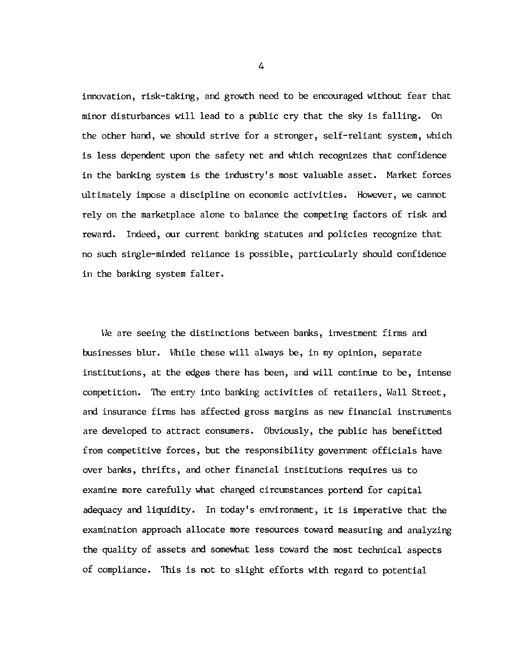**innovation, risk-taking, and growth need to be encouraged without fear that minor disturbances will lead to a public cry that the sky is falling. On the other hand, we should strive for a stronger, self-reliant system, which is less dependent upon the safety net and which recognizes that confidence in the banking system is the industry's most valuable asset. Market forces ultimately impose a discipline on economic activities. However, we cannot rely on the marketplace alone to balance the competing factors of risk and reward. Indeed, our current banking statutes and policies recognize that no such single-minded reliance is possible, particularly should confidence in the banking system falter.**

**We are seeing the distinctions between banks, investment firms and businesses blur. While these will always be, in my opinion, separate institutions, at the edges there has been, and will continue to be, intense competition. The entry into banking activities of retailers, Wall Street, and insurance firms has affected gross margins as new financial instruments are developed to attract consumers. Obviously, the public has benefitted from competitive forces, but the responsibility government officials have over banks, thrifts, and other financial institutions requires us to examine more carefully what changed circumstances portend for capital adequacy and liquidity. In today's environment, it is imperative that the examination approach allocate more resources toward measuring and analyzing the quality of assets and somewhat less toward the most technical aspects of compliance. This is not to slight efforts with regard to potential**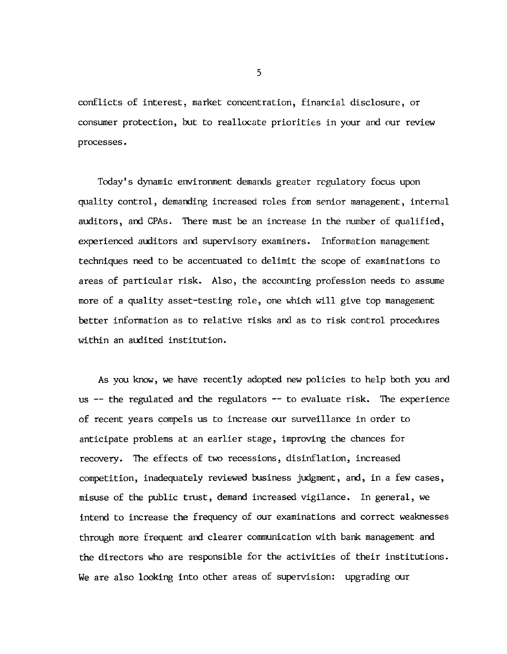**conflicts of interest, market concentration, financial disclosure, or consumer protection, but to reallocate priorities in your and our review processes.**

**Today's dynamic environment demands greater regulatory focus upon quality control, demanding increased roles from senior management, internal auditors, and CPAs. There must be an increase in the number of qualified, experienced auditors and supervisory examiners. Information management techniques need to be accentuated to delimit the scope of examinations to areas of particular risk. Also, the accounting profession needs to assume more of a quality asset-testing role, one which will give top management better information as to relative risks and as to risk control procedures within an audited institution.**

**As you know, we have recently adopted new policies to help both you and us — the regulated and the regulators — to evaluate risk. The experience of recent years compels us to increase our surveillance in order to anticipate problems at an earlier stage, improving the chances for recovery. The effects of two recessions, disinflation, increased competition, inadequately reviewed business judgment, and, in a few cases, misuse of the public trust, demand increased vigilance. In general, we intend to increase the frequency of our examinations and correct weaknesses through more frequent and clearer communication with bank management and the directors who are responsible for the activities of their institutions. We are also looking into other areas of supervision: upgrading our**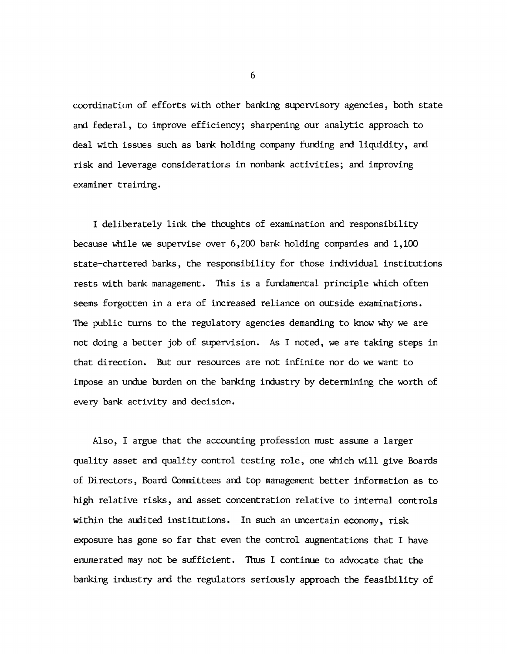**coordination of efforts with other banking supervisory agencies, both state and federal, to improve efficiency; sharpening our analytic approach to deal with issues such as bank holding company funding and liquidity, and risk and leverage considerations in nonbank activities; and improving examiner training.**

**I deliberately link the thoughts of examination and responsibility because while we supervise over 6,200 bank holding companies and 1,100 state-chartered banks, the responsibility for those individual institutions rests with bank management. This is a fundamental principle which often seems forgotten in a era of increased reliance on outside examinations. The public turns to the regulatory agencies demanding to know why we are not doing a better job of supervision. As I noted, we are taking steps in that direction. But our resources are not infinite nor do we want to impose an undue burden on the banking industry by determining the worth of every bank activity and decision.**

**Also, I argue that the accounting profession must assume a larger quality asset and quality control testing role, one which will give Boards of Directors, Board Committees and top management better information as to high relative risks, and asset concentration relative to internal controls within the audited institutions. In such an uncertain economy, risk exposure has gone so far that even the control augmentations that I have enumerated may not be sufficient. Thus I continue to advocate that the banking industry and the regulators seriously approach the feasibility of**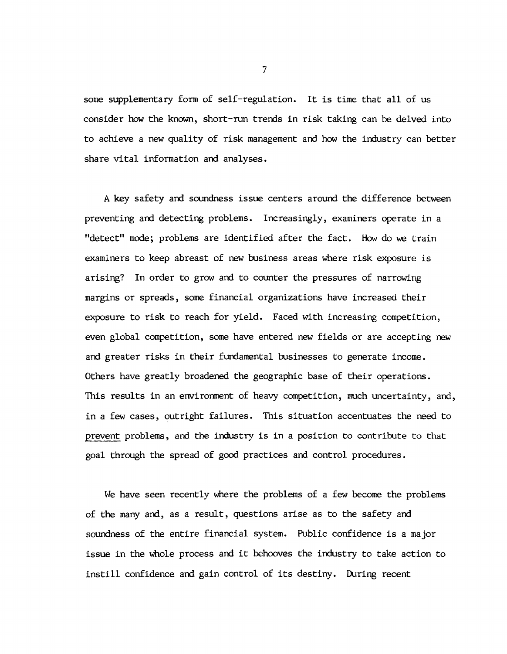**some supplementary form of self-regulation. It is time that all of us consider how the known, short-run trends in risk taking can be delved into to achieve a new quality of risk management and how the industry can better share vital information and analyses.**

**A key safety and soundness issue centers around the difference between preventing and detecting problems. Increasingly, examiners operate in a "detect" mode; problems are identified after the fact. How do we train examiners to keep abreast of new business areas where risk exposure is arising? In order to grow and to counter the pressures of narrowing margins or spreads, some financial organizations have increased their exposure to risk to reach for yield. Faced with increasing competition, even global competition, some have entered new fields or are accepting new and greater risks in their fundamental businesses to generate income. Others have greatly broadened the geographic base of their operations. This results in an environment of heavy competition, much uncertainty, and, in a few cases, outright failures. This situation accentuates the need to prevent problems, and the industry is in a position to contribute to that goal through the spread of good practices and control procedures.**

**We have seen recently where the problems of a few become the problems of the many and, as a result, questions arise as to the safety and soundness of the entire financial system. Public confidence is a major issue in the whole process and it behooves the industry to take action to instill confidence and gain control of its destiny. During recent**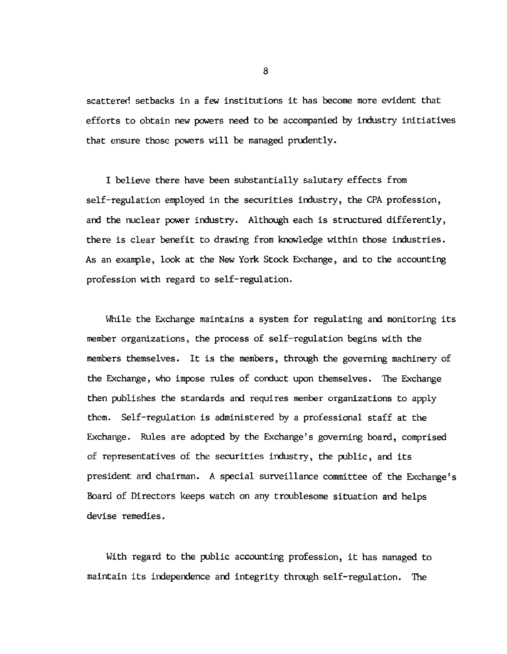**scattered setbacks in a few institutions it has become more evident that efforts to obtain new powers need to be accompanied by industry initiatives that ensure those powers will be managed prudently.**

**I believe there have been substantially salutary effects from self-regulation employed in the securities industry, the CPA profession, and the nuclear power industry. Although each is structured differently, there is clear benefit to drawing from knowledge within those industries. As an example, look at the New York Stock Exchange, and to the accounting profession with regard to self-regulation.**

**While the Exchange maintains a system for regulating and monitoring its member organizations, the process of self-regulation begins with the members themselves. It is the members, through the governing machinery of the Exchange, who impose rules of conduct upon themselves. The Exchange then publishes the standards and requires member organizations to apply them. Self-regulation is administered by a professional staff at the Exchange. Rules are adopted by the Exchange's governing board, comprised of representatives of the securities industry, the public, and its president and chairman. A special surveillance committee of the Exchange's Board of Directors keeps watch on any troublesome situation and helps devise remedies.**

**With regard to the public accounting profession, it has managed to maintain its independence and integrity through self-regulation. The**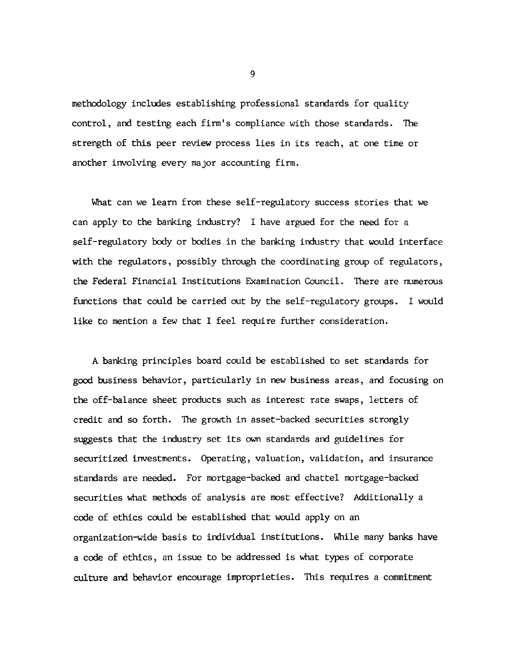**methodology includes establishing professional standards for quality control, and testing each firm's compliance with those standards. The strength of this peer review process lies in its reach, at one time or another involving every major accounting firm.**

**What can we learn from these self-regulatory success stories that we can apply to the banking industry? I have argued for the need for a self-regulatory body or bodies in the banking industry that would interface with the regulators, possibly through the coordinating group of regulators, the Federal Financial Institutions Examination Council. There are numerous functions that could be carried out by the self-regulatory groups. I would like to mention a few that I feel require further consideration.**

**A banking principles board could be established to set standards for good business behavior, particularly in new business areas, and focusing on the off-balance sheet products such as interest rate swaps, letters of credit and so forth. The growth in asset-backed securities strongly suggests that the industry set its own standards and guidelines for securitized investments. Operating, valuation, validation, and insurance standards are needed. For mortgage-backed and chattel mortgage-backed securities what methods of analysis are most effective? Additionally a code of ethics could be established that would apply on an organization-wide basis to individual institutions. While many banks have a code of ethics, an issue to be addressed is what types of corporate culture and behavior encourage improprieties. This requires a commitment**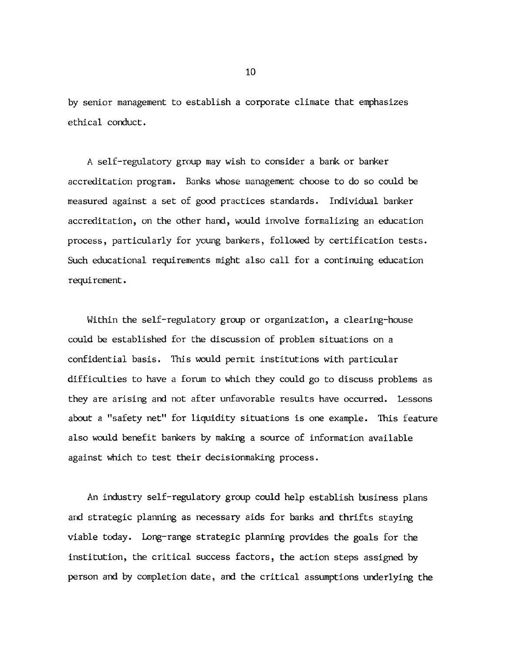**by senior management to establish a corporate climate that emphasizes ethical conduct.**

**A self-regulatory group may wish to consider a bank or banker accreditation program. Banks whose management choose to do so could be measured against a set of good practices standards. Individual banker accreditation, on the other hand, would involve formalizing an education process, particularly for young bankers, followed by certification tests. Such educational requirements might also call for a continuing education requirement.**

**Within the self-regulatory group or organization, a clearing-house could be established for the discussion of problem situations on a confidential basis. This would permit institutions with particular difficulties to have a forum to which they could go to discuss problems as they are arising and not after unfavorable results have occurred. Lessons about a "safety net" for liquidity situations is one example. This feature** also would benefit bankers by making a source of information available **against which to test their decisionmaking process.**

**An industry self-regulatory group could help establish business plans and strategic planning as necessary aids for banks and thrifts staying viable today. Long-range strategic planning provides the goals for the institution, the critical success factors, the action steps assigned by person and by completion date, and the critical assumptions underlying the**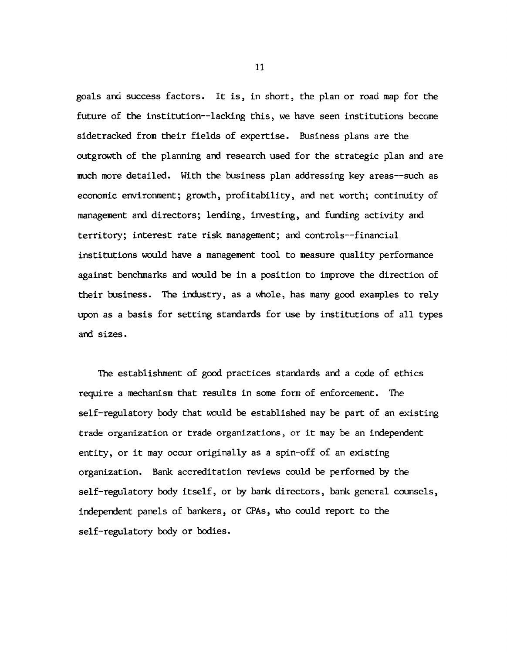**goals and success factors. It is, in short, the plan or road map for the future of the institution— lacking this, we have seen institutions become sidetracked from their fields of expertise. Business plans are the outgrowth of the planning and research used for the strategic plan and are much more detailed. With the business plan addressing key areas— such as economic environment; growth, profitability, and net worth; continuity of management and directors; lending, investing, and funding activity and territory; interest rate risk management; and controls— financial institutions would have a management tool to measure quality performance against benchmarks and would be in a position to improve the direction of their business. The industry, as a whole, has many good examples to rely upon as a basis for setting standards for use by institutions of all types and sizes.**

**The establishment of good practices standards and a code of ethics require a mechanism that results in some form of enforcement. The self-regulatory body that would be established may be part of an existing trade organization or trade organizations, or it may be an independent entity, or it may occur originally as a spin-off of an existing organization. Bank accreditation reviews could be performed by the self-regulatory body itself, or by bank directors, bank general counsels, independent panels of bankers, or CPAs, who could report to the self-regulatory body or bodies.**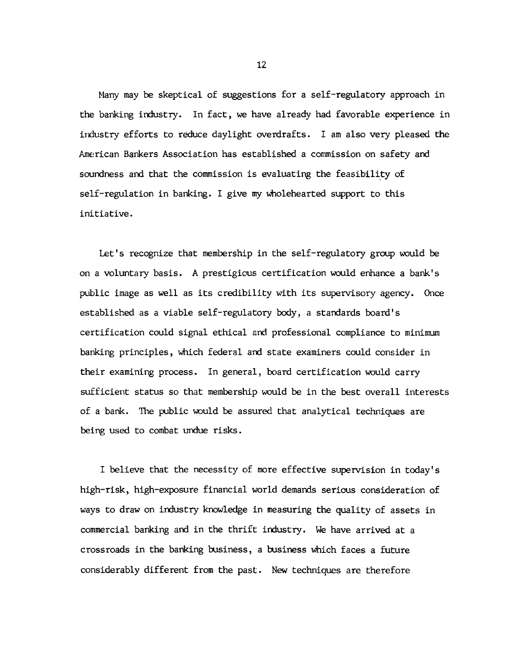**Mary may be skeptical of suggestions for a self-regulatory approach in the banking industry. In fact, we have already had favorable experience in industry efforts to reduce daylight overdrafts. I am also very pleased the American Bankers Association has established a commission on safety and soundness and that the commission is evaluating the feasibility of self-regulation in banking. I give my wholehearted support to this initiative.**

**Let's recognize that membership in the self-regulatory group would be on a voluntary basis. A prestigious certification would enhance a bank's public image as well as its credibility with its supervisory agency. Once established as a viable self-regulatory body, a standards board's certification could signal ethical and professional compliance to minimum banking principles, which federal and state examiners could consider in their examining process. In general, board certification would carry sufficient status so that membership would be in the best overall interests of a bank. The public would be assured that analytical techniques are being used to combat undue risks.**

**I believe that the necessity of more effective supervision in today's high-risk, high-exposure financial world demands serious consideration of ways to draw on industry knowledge in measuring the quality of assets in commercial banking and in the thrift industry. We have arrived at a crossroads in the banking business, a business which faces a future considerably different from the past. New techniques are therefore**